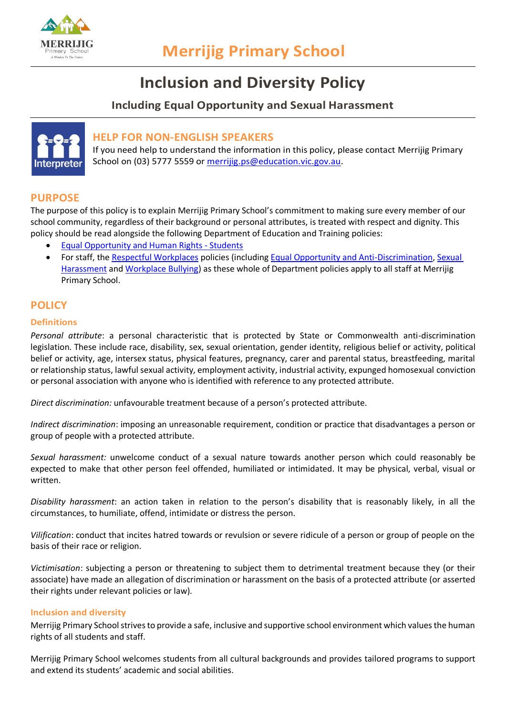

# **Inclusion and Diversity Policy**

# **Including Equal Opportunity and Sexual Harassment**



## **HELP FOR NON-ENGLISH SPEAKERS**

If you need help to understand the information in this policy, please contact Merrijig Primary School on (03) 5777 5559 or [merrijig.ps@education.vic.gov.au.](mailto:merrijig.ps@education.vic.gov.au)

## **PURPOSE**

The purpose of this policy is to explain Merrijig Primary School's commitment to making sure every member of our school community, regardless of their background or personal attributes, is treated with respect and dignity. This policy should be read alongside the following Department of Education and Training policies:

- [Equal Opportunity and Human Rights -](https://www2.education.vic.gov.au/pal/equal-opportunity-human-rights-students/policy) Students
- For staff, the [Respectful Workplaces](https://www2.education.vic.gov.au/pal/respectful-workplaces/overview) policies (includin[g Equal Opportunity and Anti-Discrimination,](https://www2.education.vic.gov.au/pal/equal-opportunity/overview) [Sexual](https://www2.education.vic.gov.au/pal/sexual-harassment/overview)  [Harassment](https://www2.education.vic.gov.au/pal/sexual-harassment/overview) an[d Workplace Bullying\)](https://www2.education.vic.gov.au/pal/workplace-bullying/policy) as these whole of Department policies apply to all staff at Merrijig Primary School.

## **POLICY**

#### **Definitions**

*Personal attribute*: a personal characteristic that is protected by State or Commonwealth anti-discrimination legislation. These include race, disability, sex, sexual orientation, gender identity, religious belief or activity, political belief or activity, age, intersex status, physical features, pregnancy, carer and parental status, breastfeeding, marital or relationship status, lawful sexual activity, employment activity, industrial activity, expunged homosexual conviction or personal association with anyone who is identified with reference to any protected attribute.

*Direct discrimination:* unfavourable treatment because of a person's protected attribute.

*Indirect discrimination*: imposing an unreasonable requirement, condition or practice that disadvantages a person or group of people with a protected attribute.

*Sexual harassment:* unwelcome conduct of a sexual nature towards another person which could reasonably be expected to make that other person feel offended, humiliated or intimidated. It may be physical, verbal, visual or written.

*Disability harassment*: an action taken in relation to the person's disability that is reasonably likely, in all the circumstances, to humiliate, offend, intimidate or distress the person.

*Vilification*: conduct that incites hatred towards or revulsion or severe ridicule of a person or group of people on the basis of their race or religion.

*Victimisation*: subjecting a person or threatening to subject them to detrimental treatment because they (or their associate) have made an allegation of discrimination or harassment on the basis of a protected attribute (or asserted their rights under relevant policies or law).

#### **Inclusion and diversity**

Merrijig Primary School strives to provide a safe, inclusive and supportive school environment which values the human rights of all students and staff.

Merrijig Primary School welcomes students from all cultural backgrounds and provides tailored programs to support and extend its students' academic and social abilities.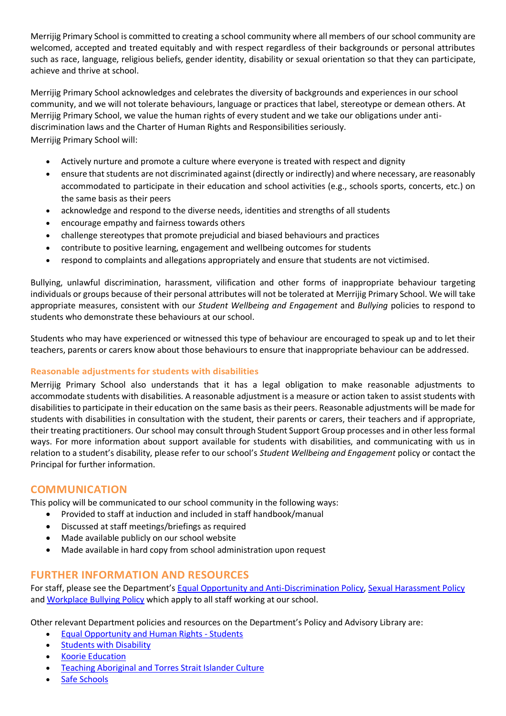Merrijig Primary School is committed to creating a school community where all members of our school community are welcomed, accepted and treated equitably and with respect regardless of their backgrounds or personal attributes such as race, language, religious beliefs, gender identity, disability or sexual orientation so that they can participate, achieve and thrive at school.

Merrijig Primary School acknowledges and celebrates the diversity of backgrounds and experiences in our school community, and we will not tolerate behaviours, language or practices that label, stereotype or demean others. At Merrijig Primary School, we value the human rights of every student and we take our obligations under antidiscrimination laws and the Charter of Human Rights and Responsibilities seriously. Merrijig Primary School will:

- Actively nurture and promote a culture where everyone is treated with respect and dignity
- ensure that students are not discriminated against (directly or indirectly) and where necessary, are reasonably accommodated to participate in their education and school activities (e.g., schools sports, concerts, etc.) on the same basis as their peers
- acknowledge and respond to the diverse needs, identities and strengths of all students
- encourage empathy and fairness towards others
- challenge stereotypes that promote prejudicial and biased behaviours and practices
- contribute to positive learning, engagement and wellbeing outcomes for students
- respond to complaints and allegations appropriately and ensure that students are not victimised.

Bullying, unlawful discrimination, harassment, vilification and other forms of inappropriate behaviour targeting individuals or groups because of their personal attributes will not be tolerated at Merrijig Primary School. We will take appropriate measures, consistent with our *Student Wellbeing and Engagement* and *Bullying* policies to respond to students who demonstrate these behaviours at our school.

Students who may have experienced or witnessed this type of behaviour are encouraged to speak up and to let their teachers, parents or carers know about those behaviours to ensure that inappropriate behaviour can be addressed.

## **Reasonable adjustments for students with disabilities**

Merrijig Primary School also understands that it has a legal obligation to make reasonable adjustments to accommodate students with disabilities. A reasonable adjustment is a measure or action taken to assist students with disabilities to participate in their education on the same basis as their peers. Reasonable adjustments will be made for students with disabilities in consultation with the student, their parents or carers, their teachers and if appropriate, their treating practitioners. Our school may consult through Student Support Group processes and in other less formal ways. For more information about support available for students with disabilities, and communicating with us in relation to a student's disability, please refer to our school's *Student Wellbeing and Engagement* policy or contact the Principal for further information.

## **COMMUNICATION**

This policy will be communicated to our school community in the following ways:

- Provided to staff at induction and included in staff handbook/manual
- Discussed at staff meetings/briefings as required
- Made available publicly on our school website
- Made available in hard copy from school administration upon request

## **FURTHER INFORMATION AND RESOURCES**

For staff, please see the Department's [Equal Opportunity and Anti-Discrimination Policy,](https://www2.education.vic.gov.au/pal/equal-opportunity/policy-and-guidelines) [Sexual Harassment Policy](https://www2.education.vic.gov.au/pal/sexual-harassment/policy-and-guidelines) and [Workplace Bullying Policy](https://www2.education.vic.gov.au/pal/workplace-bullying/policy) which apply to all staff working at our school.

Other relevant Department policies and resources on the Department's Policy and Advisory Library are:

- [Equal Opportunity and Human Rights -](https://www2.education.vic.gov.au/pal/equal-opportunity-human-rights-students/policy) Students
- [Students with Disability](https://www2.education.vic.gov.au/pal/students-disability/policy)
- [Koorie Education](https://www2.education.vic.gov.au/pal/koorie-education/policy)
- [Teaching Aboriginal and Torres Strait Islander Culture](http://www.education.vic.gov.au/school/teachers/teachingresources/multicultural/Pages/koorieculture.aspx)
- [Safe Schools](http://www.education.vic.gov.au/about/programs/health/Pages/safe-schools-coalition.aspx?Redirect=1#link8)